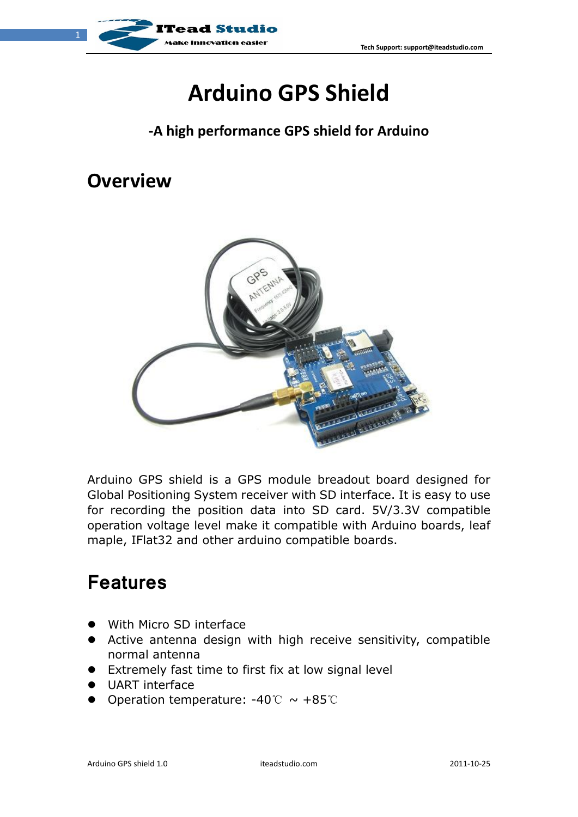

# **Arduino GPS Shield**

#### **-A high performance GPS shield for Arduino**

#### **Overview**



Arduino GPS shield is a GPS module breadout board designed for Global Positioning System receiver with SD interface. It is easy to use for recording the position data into SD card. 5V/3.3V compatible operation voltage level make it compatible with Arduino boards, leaf maple, IFlat32 and other arduino compatible boards.

### **Features**

- With Micro SD interface
- Active antenna design with high receive sensitivity, compatible normal antenna
- Extremely fast time to first fix at low signal level
- **UART** interface
- Operation temperature:  $-40^{\circ}\text{C} \sim +85^{\circ}\text{C}$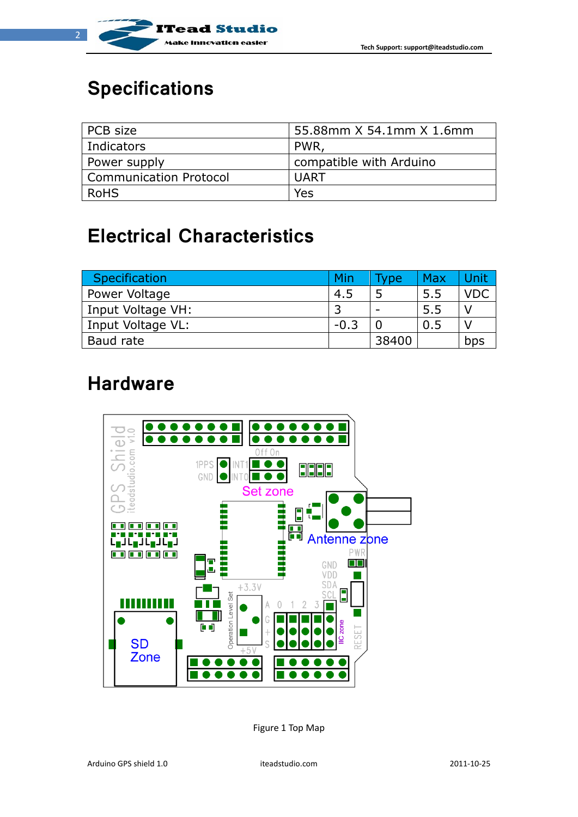

# **Specifications**

| PCB size                      | 55.88mm X 54.1mm X 1.6mm |
|-------------------------------|--------------------------|
| Indicators                    | PWR.                     |
| Power supply                  | compatible with Arduino  |
| <b>Communication Protocol</b> | UART                     |
| <b>RoHS</b>                   | Yes                      |

# **Electrical Characteristics**

| Specification     | Min    | Type  | Max | Unit       |
|-------------------|--------|-------|-----|------------|
| Power Voltage     | 4.5    |       | 5.5 | <b>VDC</b> |
| Input Voltage VH: |        |       | 5.5 |            |
| Input Voltage VL: | $-0.3$ |       | 0.5 |            |
| Baud rate         |        | 38400 |     | bps        |

#### **Hardware**



Figure 1 Top Map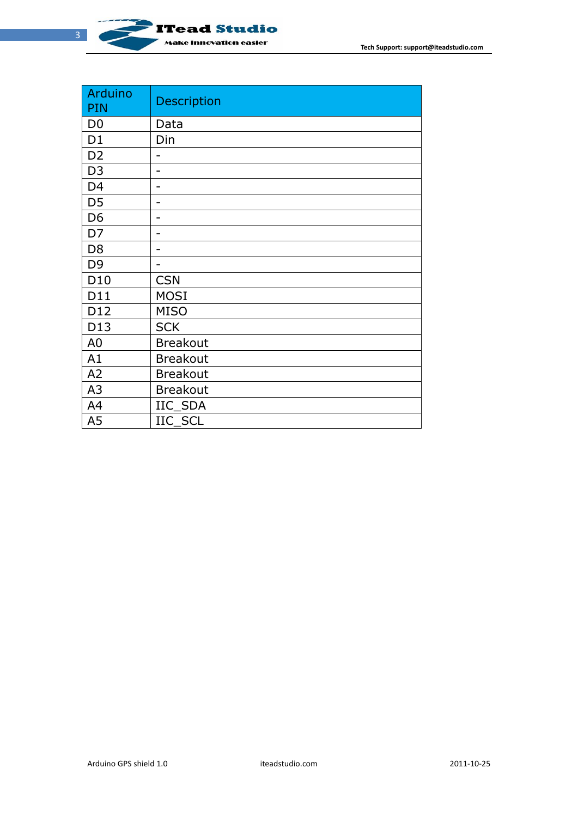

| <b>Arduino</b><br>PIN | <b>Description</b> |
|-----------------------|--------------------|
| D <sub>0</sub>        | Data               |
| D <sub>1</sub>        | Din                |
| D <sub>2</sub>        |                    |
| D <sub>3</sub>        | -                  |
| D <sub>4</sub>        |                    |
| D <sub>5</sub>        | ۳                  |
| D <sub>6</sub>        |                    |
| D7                    | -                  |
| D <sub>8</sub>        |                    |
| D <sub>9</sub>        |                    |
| D <sub>10</sub>       | <b>CSN</b>         |
| D11                   | <b>MOSI</b>        |
| D12                   | <b>MISO</b>        |
| D13                   | <b>SCK</b>         |
| A <sub>0</sub>        | <b>Breakout</b>    |
| A1                    | <b>Breakout</b>    |
| A2                    | <b>Breakout</b>    |
| A3                    | <b>Breakout</b>    |
| A4                    | IIC SDA            |
| A <sub>5</sub>        | IIC SCL            |